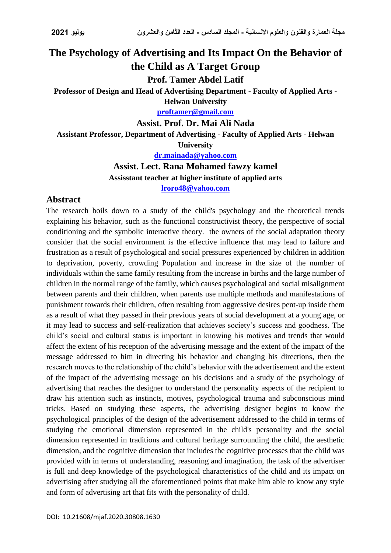## **The Psychology of Advertising and Its Impact On the Behavior of the Child as A Target Group**

**Prof. Tamer Abdel Latif**

**Professor of Design and Head of Advertising Department - Faculty of Applied Arts -**

**Helwan University [proftamer@gmail.com](mailto:proftamer@gmail.com)**

**Assist. Prof. Dr. Mai Ali Nada**

**Assistant Professor, Department of Advertising - Faculty of Applied Arts - Helwan** 

**University**

**[dr.mainada@yahoo.com](mailto:dr.mainada@yahoo.com)**

**Assist. Lect. Rana Mohamed fawzy kamel Assisstant teacher at higher institute of applied arts**

**[lroro48@yahoo.com](mailto:lroro48@yahoo.com)**

## **Abstract**

The research boils down to a study of the child's psychology and the theoretical trends explaining his behavior, such as the functional constructivist theory, the perspective of social conditioning and the symbolic interactive theory. the owners of the social adaptation theory consider that the social environment is the effective influence that may lead to failure and frustration as a result of psychological and social pressures experienced by children in addition to deprivation, poverty, crowding Population and increase in the size of the number of individuals within the same family resulting from the increase in births and the large number of children in the normal range of the family, which causes psychological and social misalignment between parents and their children, when parents use multiple methods and manifestations of punishment towards their children, often resulting from aggressive desires pent-up inside them as a result of what they passed in their previous years of social development at a young age, or it may lead to success and self-realization that achieves society's success and goodness. The child's social and cultural status is important in knowing his motives and trends that would affect the extent of his reception of the advertising message and the extent of the impact of the message addressed to him in directing his behavior and changing his directions, then the research moves to the relationship of the child's behavior with the advertisement and the extent of the impact of the advertising message on his decisions and a study of the psychology of advertising that reaches the designer to understand the personality aspects of the recipient to draw his attention such as instincts, motives, psychological trauma and subconscious mind tricks. Based on studying these aspects, the advertising designer begins to know the psychological principles of the design of the advertisement addressed to the child in terms of studying the emotional dimension represented in the child's personality and the social dimension represented in traditions and cultural heritage surrounding the child, the aesthetic dimension, and the cognitive dimension that includes the cognitive processes that the child was provided with in terms of understanding, reasoning and imagination, the task of the advertiser is full and deep knowledge of the psychological characteristics of the child and its impact on advertising after studying all the aforementioned points that make him able to know any style and form of advertising art that fits with the personality of child.